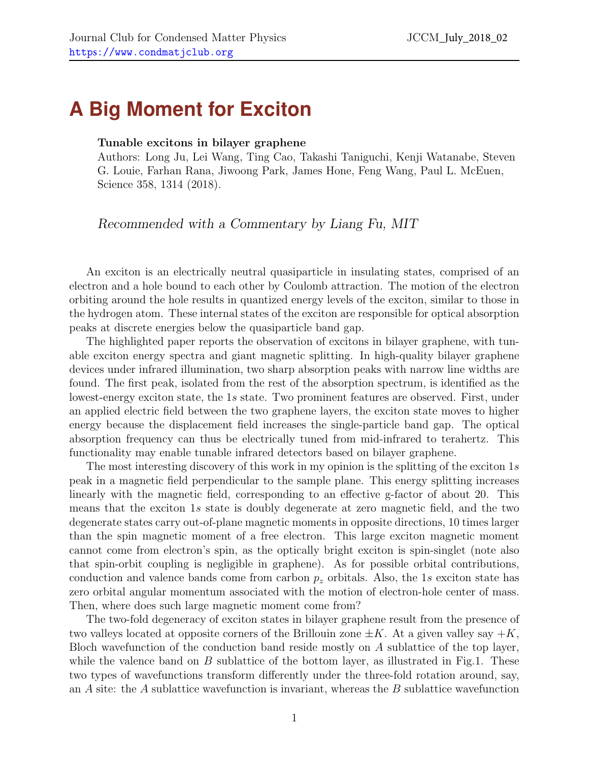## **A Big Moment for Exciton**

## Tunable excitons in bilayer graphene

Authors: Long Ju, Lei Wang, Ting Cao, Takashi Taniguchi, Kenji Watanabe, Steven G. Louie, Farhan Rana, Jiwoong Park, James Hone, Feng Wang, Paul L. McEuen, Science 358, 1314 (2018).

Recommended with a Commentary by Liang Fu, MIT

An exciton is an electrically neutral quasiparticle in insulating states, comprised of an electron and a hole bound to each other by Coulomb attraction. The motion of the electron orbiting around the hole results in quantized energy levels of the exciton, similar to those in the hydrogen atom. These internal states of the exciton are responsible for optical absorption peaks at discrete energies below the quasiparticle band gap.

The highlighted paper reports the observation of excitons in bilayer graphene, with tunable exciton energy spectra and giant magnetic splitting. In high-quality bilayer graphene devices under infrared illumination, two sharp absorption peaks with narrow line widths are found. The first peak, isolated from the rest of the absorption spectrum, is identified as the lowest-energy exciton state, the 1s state. Two prominent features are observed. First, under an applied electric field between the two graphene layers, the exciton state moves to higher energy because the displacement field increases the single-particle band gap. The optical absorption frequency can thus be electrically tuned from mid-infrared to terahertz. This functionality may enable tunable infrared detectors based on bilayer graphene.

The most interesting discovery of this work in my opinion is the splitting of the exciton  $1s$ peak in a magnetic field perpendicular to the sample plane. This energy splitting increases linearly with the magnetic field, corresponding to an effective g-factor of about 20. This means that the exciton 1s state is doubly degenerate at zero magnetic field, and the two degenerate states carry out-of-plane magnetic moments in opposite directions, 10 times larger than the spin magnetic moment of a free electron. This large exciton magnetic moment cannot come from electron's spin, as the optically bright exciton is spin-singlet (note also that spin-orbit coupling is negligible in graphene). As for possible orbital contributions, conduction and valence bands come from carbon  $p<sub>z</sub>$  orbitals. Also, the 1s exciton state has zero orbital angular momentum associated with the motion of electron-hole center of mass. Then, where does such large magnetic moment come from?

The two-fold degeneracy of exciton states in bilayer graphene result from the presence of two valleys located at opposite corners of the Brillouin zone  $\pm K$ . At a given valley say  $+K$ , Bloch wavefunction of the conduction band reside mostly on A sublattice of the top layer, while the valence band on  $B$  sublattice of the bottom layer, as illustrated in Fig.1. These two types of wavefunctions transform differently under the three-fold rotation around, say, an A site: the A sublattice wavefunction is invariant, whereas the B sublattice wavefunction